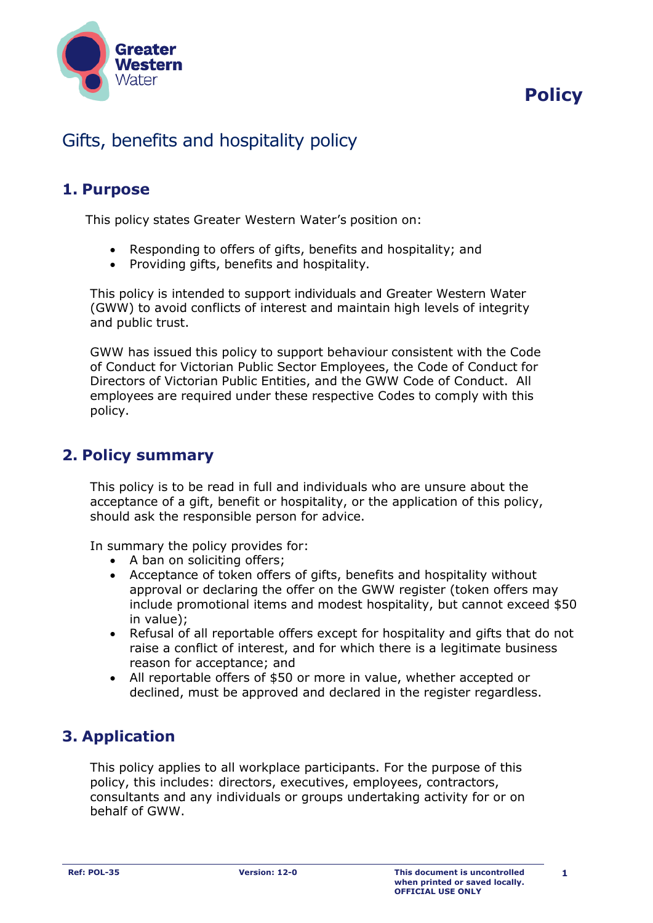

# Gifts, benefits and hospitality policy

### **1. Purpose**

This policy states Greater Western Water's position on:

- Responding to offers of gifts, benefits and hospitality; and
- Providing gifts, benefits and hospitality.

This policy is intended to support individuals and Greater Western Water (GWW) to avoid conflicts of interest and maintain high levels of integrity and public trust.

GWW has issued this policy to support behaviour consistent with the Code of Conduct for Victorian Public Sector Employees, the Code of Conduct for Directors of Victorian Public Entities, and the GWW Code of Conduct. All employees are required under these respective Codes to comply with this policy.

### **2. Policy summary**

This policy is to be read in full and individuals who are unsure about the acceptance of a gift, benefit or hospitality, or the application of this policy, should ask the responsible person for advice.

In summary the policy provides for:

- A ban on soliciting offers:
- Acceptance of token offers of gifts, benefits and hospitality without approval or declaring the offer on the GWW register (token offers may include promotional items and modest hospitality, but cannot exceed \$50 in value);
- Refusal of all reportable offers except for hospitality and gifts that do not raise a conflict of interest, and for which there is a legitimate business reason for acceptance; and
- All reportable offers of \$50 or more in value, whether accepted or declined, must be approved and declared in the register regardless.

### **3. Application**

This policy applies to all workplace participants. For the purpose of this policy, this includes: directors, executives, employees, contractors, consultants and any individuals or groups undertaking activity for or on behalf of GWW.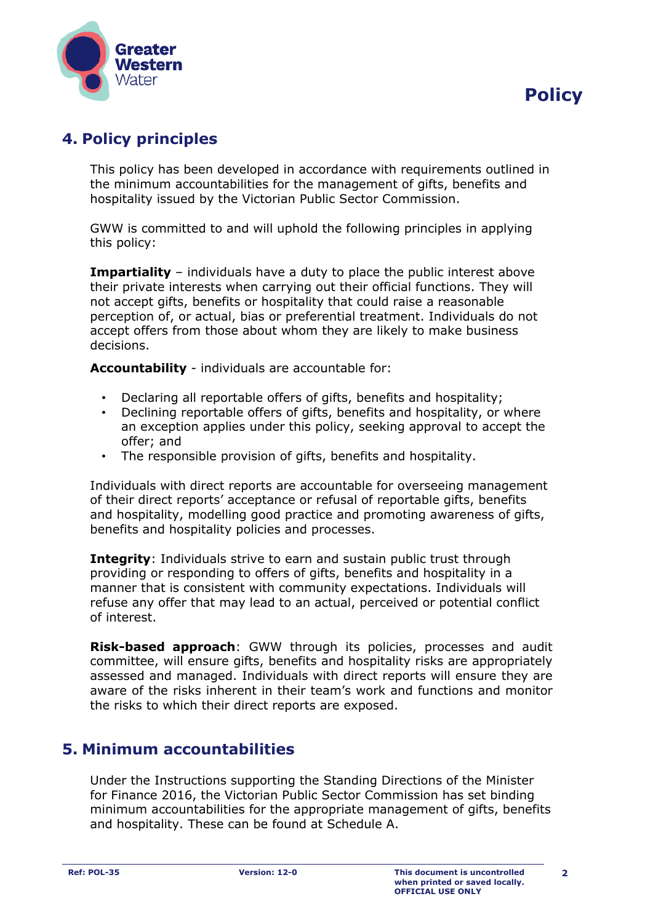



## **4. Policy principles**

This policy has been developed in accordance with requirements outlined in the minimum accountabilities for the management of gifts, benefits and hospitality issued by the Victorian Public Sector Commission.

GWW is committed to and will uphold the following principles in applying this policy:

**Impartiality** – individuals have a duty to place the public interest above their private interests when carrying out their official functions. They will not accept gifts, benefits or hospitality that could raise a reasonable perception of, or actual, bias or preferential treatment. Individuals do not accept offers from those about whom they are likely to make business decisions.

**Accountability** - individuals are accountable for:

- Declaring all reportable offers of gifts, benefits and hospitality;
- Declining reportable offers of gifts, benefits and hospitality, or where an exception applies under this policy, seeking approval to accept the offer; and
- The responsible provision of gifts, benefits and hospitality.

Individuals with direct reports are accountable for overseeing management of their direct reports' acceptance or refusal of reportable gifts, benefits and hospitality, modelling good practice and promoting awareness of gifts, benefits and hospitality policies and processes.

**Integrity**: Individuals strive to earn and sustain public trust through providing or responding to offers of gifts, benefits and hospitality in a manner that is consistent with community expectations. Individuals will refuse any offer that may lead to an actual, perceived or potential conflict of interest.

**Risk-based approach**: GWW through its policies, processes and audit committee, will ensure gifts, benefits and hospitality risks are appropriately assessed and managed. Individuals with direct reports will ensure they are aware of the risks inherent in their team's work and functions and monitor the risks to which their direct reports are exposed.

### **5. Minimum accountabilities**

Under the Instructions supporting the Standing Directions of the Minister for Finance 2016, the Victorian Public Sector Commission has set binding minimum accountabilities for the appropriate management of gifts, benefits and hospitality. These can be found at Schedule A.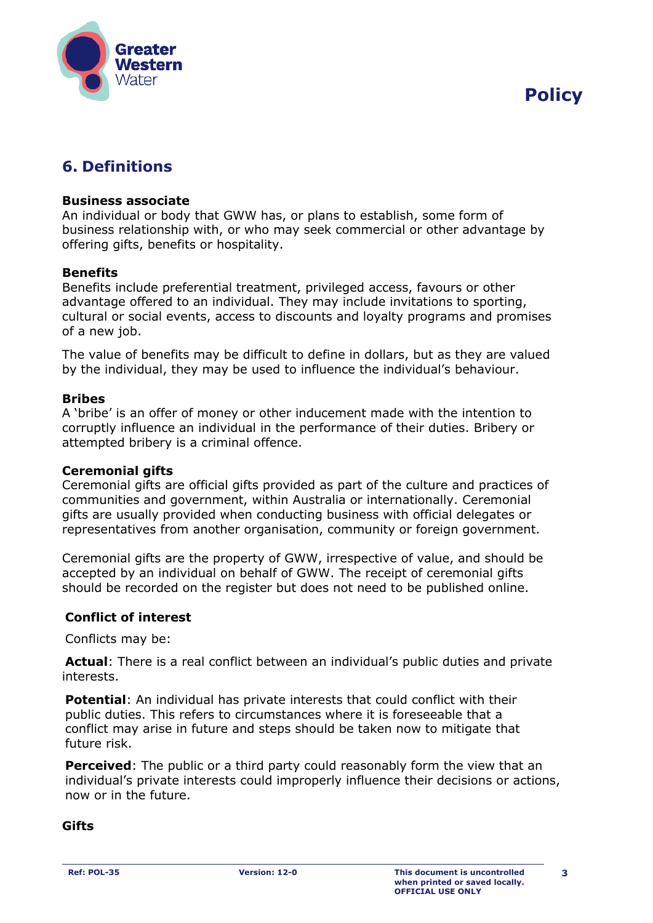

### **6. Definitions**

#### **Business associate**

An individual or body that GWW has, or plans to establish, some form of business relationship with, or who may seek commercial or other advantage by offering gifts, benefits or hospitality.

#### **Benefits**

Benefits include preferential treatment, privileged access, favours or other advantage offered to an individual. They may include invitations to sporting, cultural or social events, access to discounts and loyalty programs and promises of a new job.

The value of benefits may be difficult to define in dollars, but as they are valued by the individual, they may be used to influence the individual's behaviour.

#### **Bribes**

A 'bribe' is an offer of money or other inducement made with the intention to corruptly influence an individual in the performance of their duties. Bribery or attempted bribery is a criminal offence.

#### **Ceremonial gifts**

Ceremonial gifts are official gifts provided as part of the culture and practices of communities and government, within Australia or internationally. Ceremonial gifts are usually provided when conducting business with official delegates or representatives from another organisation, community or foreign government.

Ceremonial gifts are the property of GWW, irrespective of value, and should be accepted by an individual on behalf of GWW. The receipt of ceremonial gifts should be recorded on the register but does not need to be published online.

#### **Conflict of interest**

Conflicts may be:

**Actual**: There is a real conflict between an individual's public duties and private interests.

**Potential**: An individual has private interests that could conflict with their public duties. This refers to circumstances where it is foreseeable that a conflict may arise in future and steps should be taken now to mitigate that future risk.

**Perceived**: The public or a third party could reasonably form the view that an individual's private interests could improperly influence their decisions or actions, now or in the future.

#### **Gifts**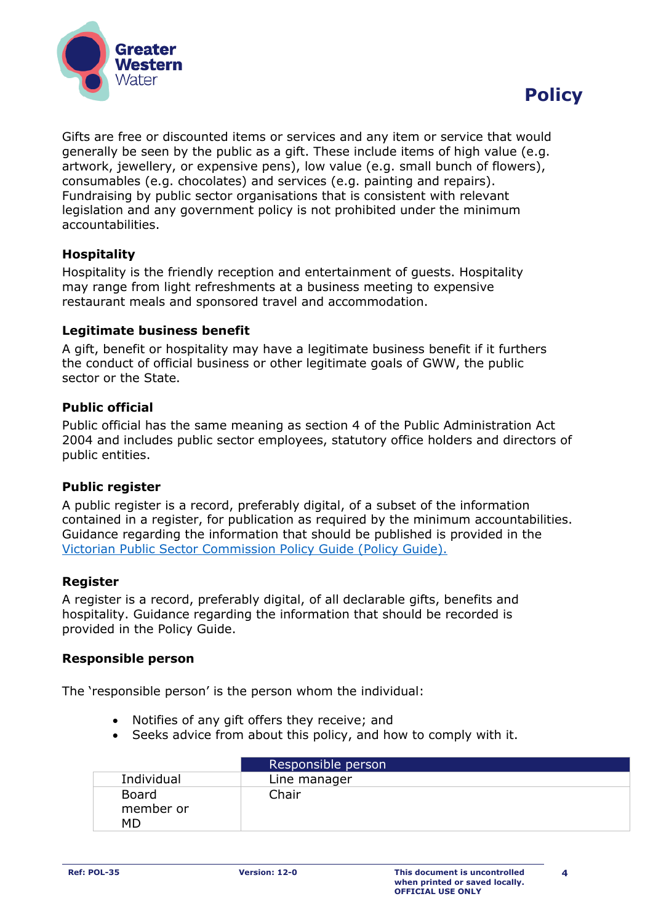



Gifts are free or discounted items or services and any item or service that would generally be seen by the public as a gift. These include items of high value (e.g. artwork, jewellery, or expensive pens), low value (e.g. small bunch of flowers), consumables (e.g. chocolates) and services (e.g. painting and repairs). Fundraising by public sector organisations that is consistent with relevant legislation and any government policy is not prohibited under the minimum accountabilities.

#### **Hospitality**

Hospitality is the friendly reception and entertainment of guests. Hospitality may range from light refreshments at a business meeting to expensive restaurant meals and sponsored travel and accommodation.

#### **Legitimate business benefit**

A gift, benefit or hospitality may have a legitimate business benefit if it furthers the conduct of official business or other legitimate goals of GWW, the public sector or the State.

### **Public official**

Public official has the same meaning as section 4 of the Public Administration Act 2004 and includes public sector employees, statutory office holders and directors of public entities.

#### **Public register**

A public register is a record, preferably digital, of a subset of the information contained in a register, for publication as required by the minimum accountabilities. Guidance regarding the information that should be published is provided in the [Victorian Public Sector Commission Policy Guide](https://vpsc.vic.gov.au/html-resources/gifts-benefits-hospitality-policy-guide/) (Policy Guide).

#### **Register**

A register is a record, preferably digital, of all declarable gifts, benefits and hospitality. Guidance regarding the information that should be recorded is provided in the Policy Guide.

#### **Responsible person**

The 'responsible person' is the person whom the individual:

- Notifies of any gift offers they receive; and
- Seeks advice from about this policy, and how to comply with it.

|                          | Responsible person |
|--------------------------|--------------------|
| Individual               | Line manager       |
| Board<br>member or<br>MD | Chair              |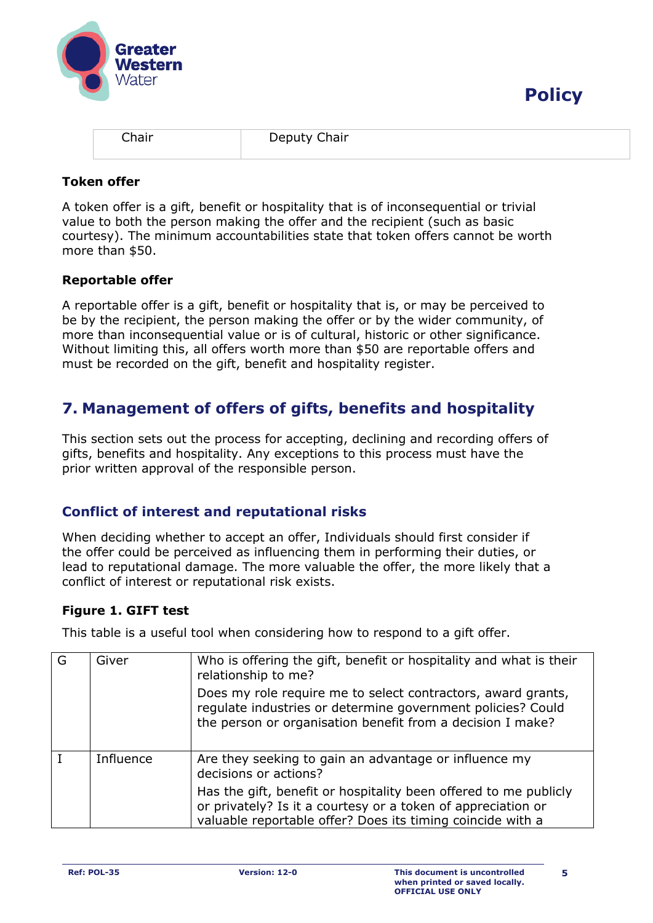

| hair | Chair<br>Deputy |  |
|------|-----------------|--|
|------|-----------------|--|

### **Token offer**

A token offer is a gift, benefit or hospitality that is of inconsequential or trivial value to both the person making the offer and the recipient (such as basic courtesy). The minimum accountabilities state that token offers cannot be worth more than \$50.

#### **Reportable offer**

A reportable offer is a gift, benefit or hospitality that is, or may be perceived to be by the recipient, the person making the offer or by the wider community, of more than inconsequential value or is of cultural, historic or other significance. Without limiting this, all offers worth more than \$50 are reportable offers and must be recorded on the gift, benefit and hospitality register.

### **7. Management of offers of gifts, benefits and hospitality**

This section sets out the process for accepting, declining and recording offers of gifts, benefits and hospitality. Any exceptions to this process must have the prior written approval of the responsible person.

### **Conflict of interest and reputational risks**

When deciding whether to accept an offer, Individuals should first consider if the offer could be perceived as influencing them in performing their duties, or lead to reputational damage. The more valuable the offer, the more likely that a conflict of interest or reputational risk exists.

### **Figure 1. GIFT test**

This table is a useful tool when considering how to respond to a gift offer.

| G | Giver     | Who is offering the gift, benefit or hospitality and what is their<br>relationship to me?                                                                                                      |  |  |  |  |
|---|-----------|------------------------------------------------------------------------------------------------------------------------------------------------------------------------------------------------|--|--|--|--|
|   |           | Does my role require me to select contractors, award grants,<br>regulate industries or determine government policies? Could<br>the person or organisation benefit from a decision I make?      |  |  |  |  |
|   | Influence | Are they seeking to gain an advantage or influence my<br>decisions or actions?                                                                                                                 |  |  |  |  |
|   |           | Has the gift, benefit or hospitality been offered to me publicly<br>or privately? Is it a courtesy or a token of appreciation or<br>valuable reportable offer? Does its timing coincide with a |  |  |  |  |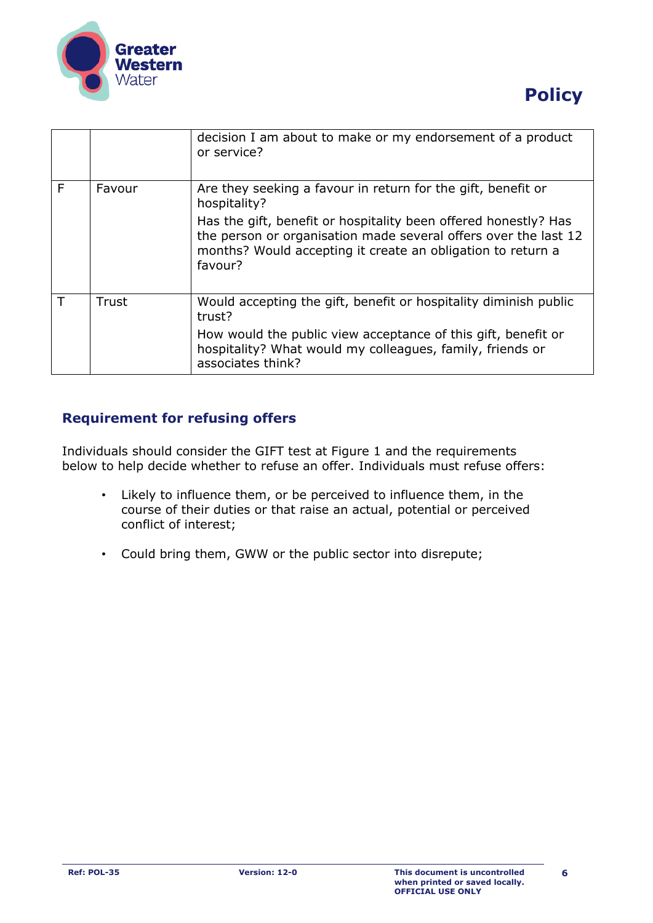

|   |        | decision I am about to make or my endorsement of a product<br>or service?                                                                                                                                    |
|---|--------|--------------------------------------------------------------------------------------------------------------------------------------------------------------------------------------------------------------|
| F | Favour | Are they seeking a favour in return for the gift, benefit or<br>hospitality?                                                                                                                                 |
|   |        | Has the gift, benefit or hospitality been offered honestly? Has<br>the person or organisation made several offers over the last 12<br>months? Would accepting it create an obligation to return a<br>favour? |
|   | Trust  | Would accepting the gift, benefit or hospitality diminish public<br>trust?                                                                                                                                   |
|   |        | How would the public view acceptance of this gift, benefit or<br>hospitality? What would my colleagues, family, friends or<br>associates think?                                                              |

### **Requirement for refusing offers**

Individuals should consider the GIFT test at Figure 1 and the requirements below to help decide whether to refuse an offer. Individuals must refuse offers:

- Likely to influence them, or be perceived to influence them, in the course of their duties or that raise an actual, potential or perceived conflict of interest;
- Could bring them, GWW or the public sector into disrepute;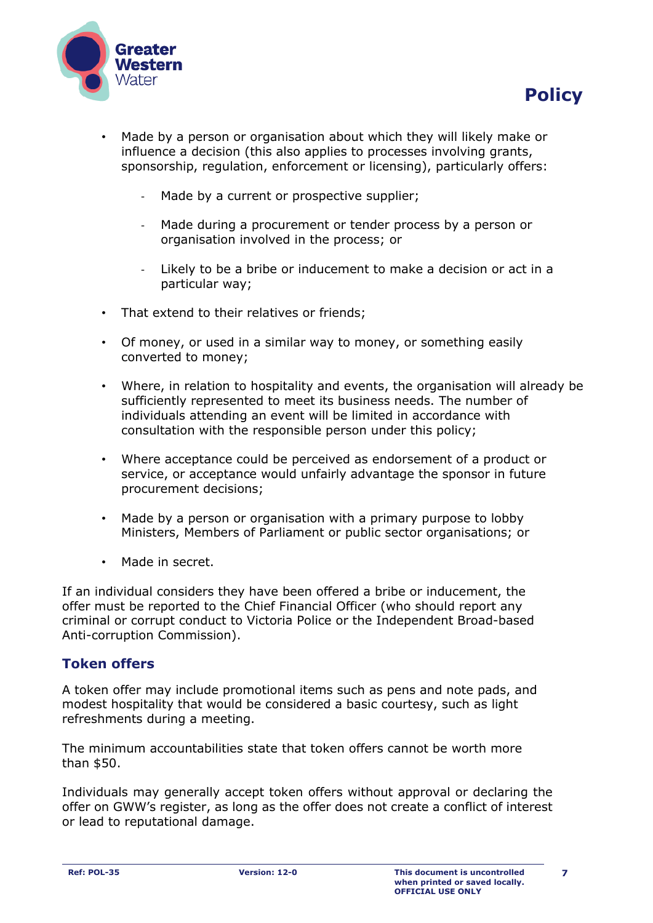



- Made by a person or organisation about which they will likely make or influence a decision (this also applies to processes involving grants, sponsorship, regulation, enforcement or licensing), particularly offers:
	- Made by a current or prospective supplier;
	- Made during a procurement or tender process by a person or organisation involved in the process; or
	- Likely to be a bribe or inducement to make a decision or act in a particular way;
- That extend to their relatives or friends;
- Of money, or used in a similar way to money, or something easily converted to money;
- Where, in relation to hospitality and events, the organisation will already be sufficiently represented to meet its business needs. The number of individuals attending an event will be limited in accordance with consultation with the responsible person under this policy;
- Where acceptance could be perceived as endorsement of a product or service, or acceptance would unfairly advantage the sponsor in future procurement decisions;
- Made by a person or organisation with a primary purpose to lobby Ministers, Members of Parliament or public sector organisations; or
- Made in secret.

If an individual considers they have been offered a bribe or inducement, the offer must be reported to the Chief Financial Officer (who should report any criminal or corrupt conduct to Victoria Police or the Independent Broad-based Anti-corruption Commission).

### **Token offers**

A token offer may include promotional items such as pens and note pads, and modest hospitality that would be considered a basic courtesy, such as light refreshments during a meeting.

The minimum accountabilities state that token offers cannot be worth more than \$50.

Individuals may generally accept token offers without approval or declaring the offer on GWW's register, as long as the offer does not create a conflict of interest or lead to reputational damage.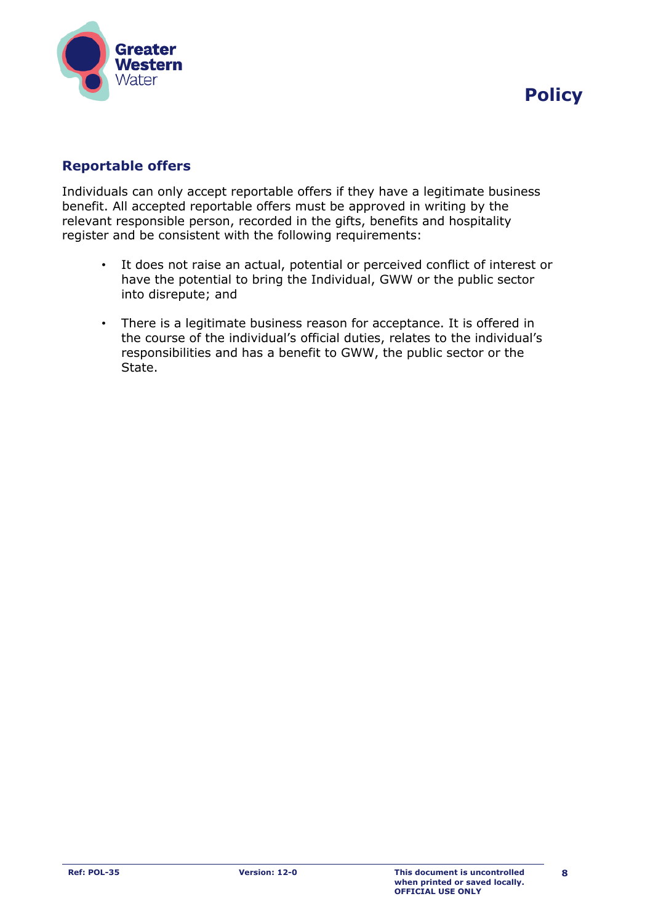

### **Reportable offers**

Individuals can only accept reportable offers if they have a legitimate business benefit. All accepted reportable offers must be approved in writing by the relevant responsible person, recorded in the gifts, benefits and hospitality register and be consistent with the following requirements:

- It does not raise an actual, potential or perceived conflict of interest or have the potential to bring the Individual, GWW or the public sector into disrepute; and
- There is a legitimate business reason for acceptance. It is offered in the course of the individual's official duties, relates to the individual's responsibilities and has a benefit to GWW, the public sector or the State.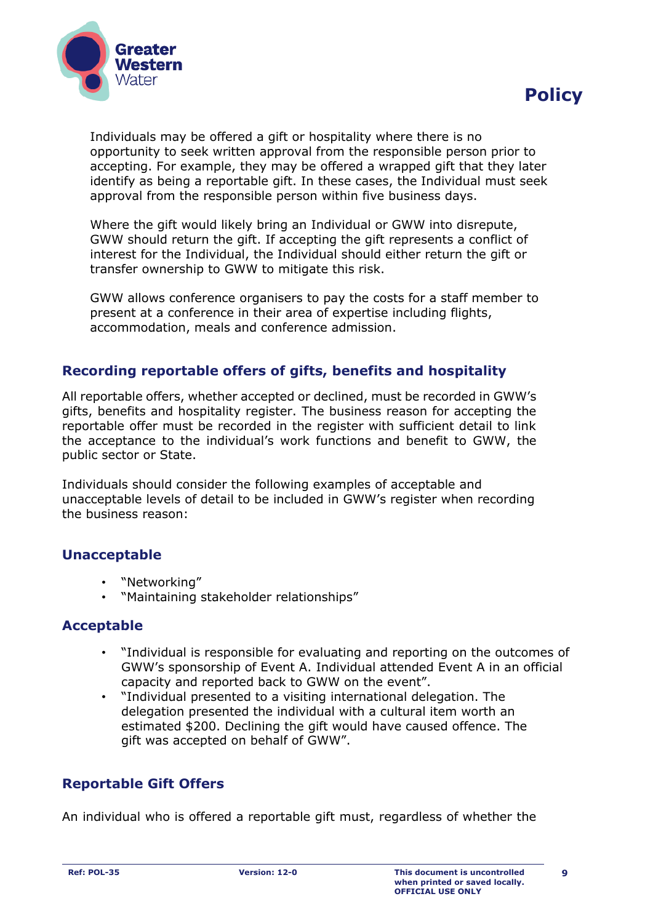



Individuals may be offered a gift or hospitality where there is no opportunity to seek written approval from the responsible person prior to accepting. For example, they may be offered a wrapped gift that they later identify as being a reportable gift. In these cases, the Individual must seek approval from the responsible person within five business days.

Where the gift would likely bring an Individual or GWW into disrepute, GWW should return the gift. If accepting the gift represents a conflict of interest for the Individual, the Individual should either return the gift or transfer ownership to GWW to mitigate this risk.

GWW allows conference organisers to pay the costs for a staff member to present at a conference in their area of expertise including flights, accommodation, meals and conference admission.

### **Recording reportable offers of gifts, benefits and hospitality**

All reportable offers, whether accepted or declined, must be recorded in GWW's gifts, benefits and hospitality register. The business reason for accepting the reportable offer must be recorded in the register with sufficient detail to link the acceptance to the individual's work functions and benefit to GWW, the public sector or State.

Individuals should consider the following examples of acceptable and unacceptable levels of detail to be included in GWW's register when recording the business reason:

### **Unacceptable**

- "Networking"
- "Maintaining stakeholder relationships"

### **Acceptable**

- "Individual is responsible for evaluating and reporting on the outcomes of GWW's sponsorship of Event A. Individual attended Event A in an official capacity and reported back to GWW on the event".
- "Individual presented to a visiting international delegation. The delegation presented the individual with a cultural item worth an estimated \$200. Declining the gift would have caused offence. The gift was accepted on behalf of GWW".

### **Reportable Gift Offers**

An individual who is offered a reportable gift must, regardless of whether the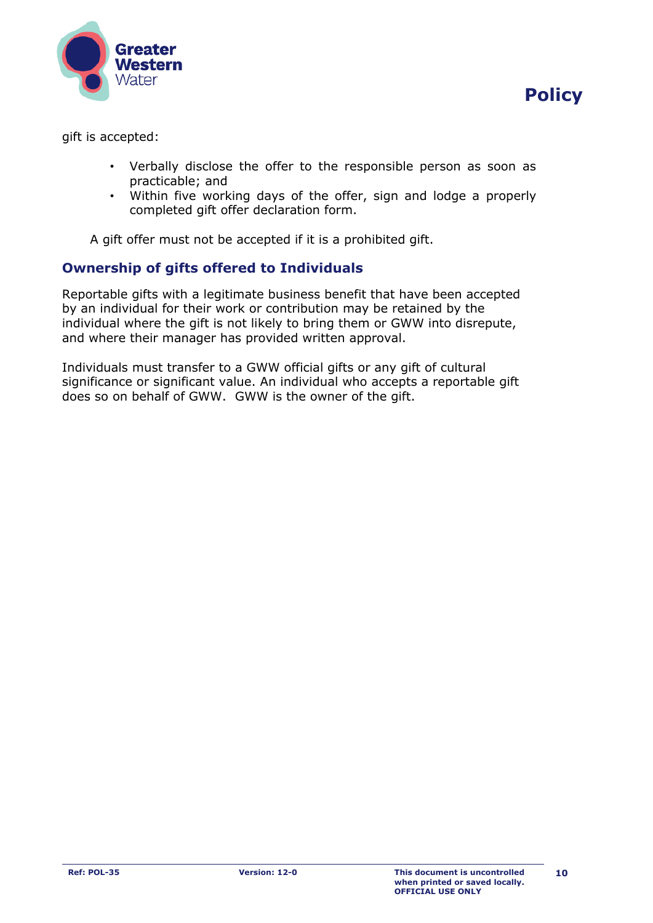



gift is accepted:

- Verbally disclose the offer to the responsible person as soon as practicable; and
- Within five working days of the offer, sign and lodge a properly completed gift offer declaration form.

A gift offer must not be accepted if it is a prohibited gift.

### **Ownership of gifts offered to Individuals**

Reportable gifts with a legitimate business benefit that have been accepted by an individual for their work or contribution may be retained by the individual where the gift is not likely to bring them or GWW into disrepute, and where their manager has provided written approval.

Individuals must transfer to a GWW official gifts or any gift of cultural significance or significant value. An individual who accepts a reportable gift does so on behalf of GWW. GWW is the owner of the gift.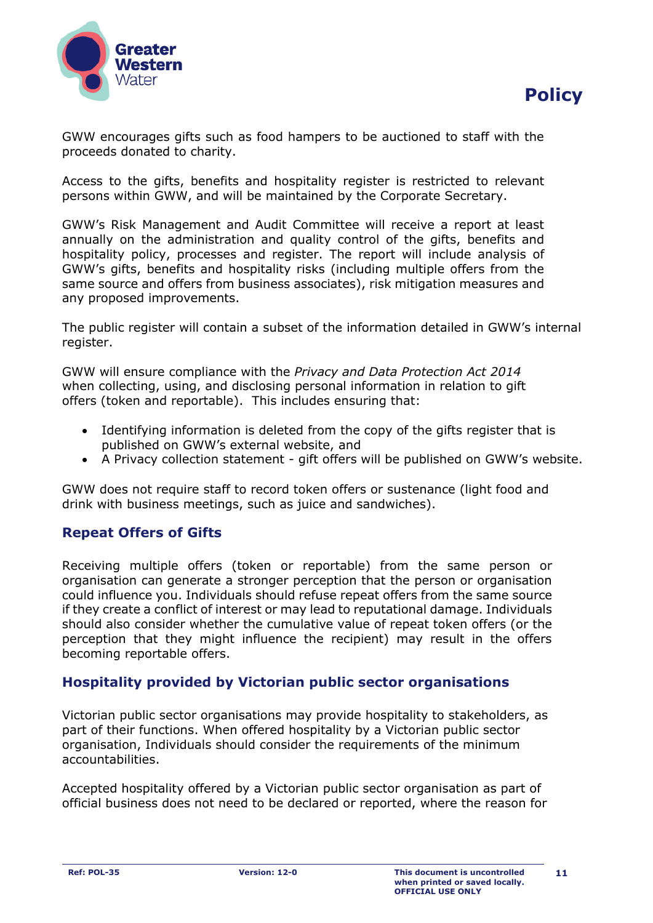



GWW encourages gifts such as food hampers to be auctioned to staff with the proceeds donated to charity.

Access to the gifts, benefits and hospitality register is restricted to relevant persons within GWW, and will be maintained by the Corporate Secretary.

GWW's Risk Management and Audit Committee will receive a report at least annually on the administration and quality control of the gifts, benefits and hospitality policy, processes and register. The report will include analysis of GWW's gifts, benefits and hospitality risks (including multiple offers from the same source and offers from business associates), risk mitigation measures and any proposed improvements.

The public register will contain a subset of the information detailed in GWW's internal register.

GWW will ensure compliance with the *Privacy and Data Protection Act 2014* when collecting, using, and disclosing personal information in relation to gift offers (token and reportable). This includes ensuring that:

- Identifying information is deleted from the copy of the gifts register that is published on GWW's external website, and
- A Privacy collection statement gift offers will be published on GWW's website.

GWW does not require staff to record token offers or sustenance (light food and drink with business meetings, such as juice and sandwiches).

### **Repeat Offers of Gifts**

Receiving multiple offers (token or reportable) from the same person or organisation can generate a stronger perception that the person or organisation could influence you. Individuals should refuse repeat offers from the same source if they create a conflict of interest or may lead to reputational damage. Individuals should also consider whether the cumulative value of repeat token offers (or the perception that they might influence the recipient) may result in the offers becoming reportable offers.

### **Hospitality provided by Victorian public sector organisations**

Victorian public sector organisations may provide hospitality to stakeholders, as part of their functions. When offered hospitality by a Victorian public sector organisation, Individuals should consider the requirements of the minimum accountabilities.

Accepted hospitality offered by a Victorian public sector organisation as part of official business does not need to be declared or reported, where the reason for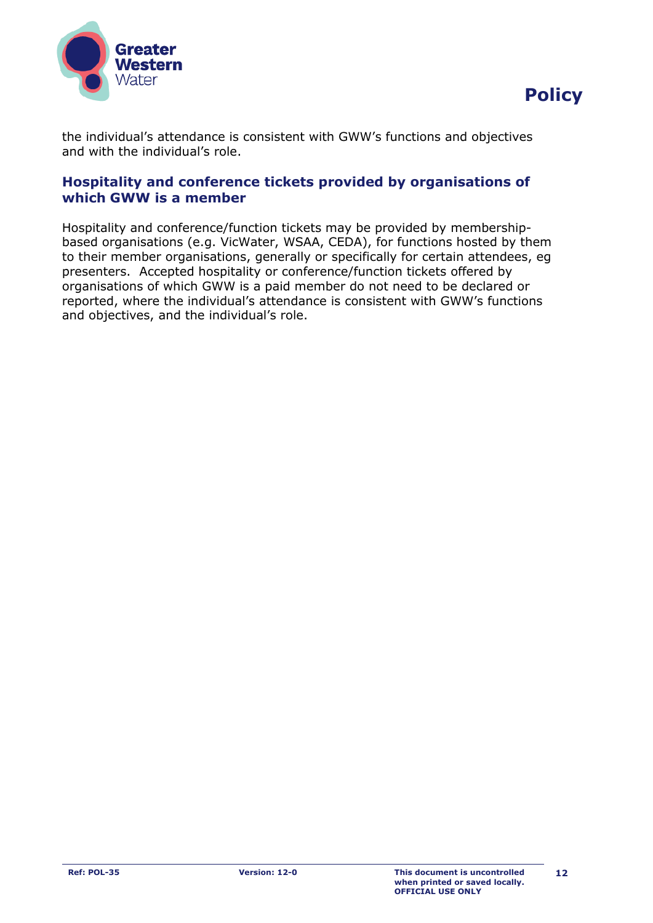



the individual's attendance is consistent with GWW's functions and objectives and with the individual's role.

### **Hospitality and conference tickets provided by organisations of which GWW is a member**

Hospitality and conference/function tickets may be provided by membershipbased organisations (e.g. VicWater, WSAA, CEDA), for functions hosted by them to their member organisations, generally or specifically for certain attendees, eg presenters. Accepted hospitality or conference/function tickets offered by organisations of which GWW is a paid member do not need to be declared or reported, where the individual's attendance is consistent with GWW's functions and objectives, and the individual's role.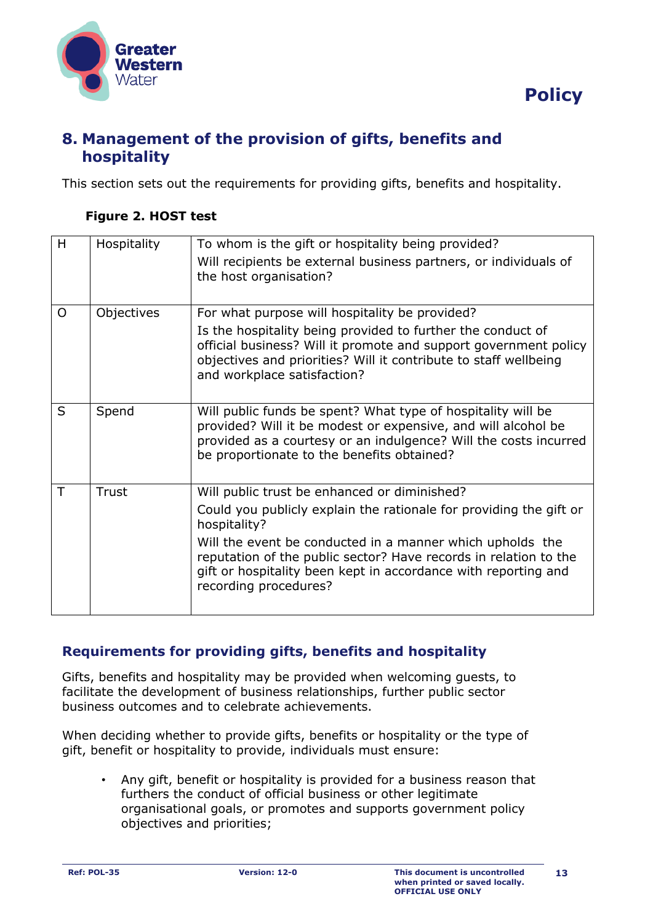



### **8. Management of the provision of gifts, benefits and hospitality**

This section sets out the requirements for providing gifts, benefits and hospitality.

### **Figure 2. HOST test**

| H              | Hospitality | To whom is the gift or hospitality being provided?                                                                                                                                                                                                                                   |
|----------------|-------------|--------------------------------------------------------------------------------------------------------------------------------------------------------------------------------------------------------------------------------------------------------------------------------------|
|                |             | Will recipients be external business partners, or individuals of<br>the host organisation?                                                                                                                                                                                           |
| $\overline{O}$ | Objectives  | For what purpose will hospitality be provided?<br>Is the hospitality being provided to further the conduct of<br>official business? Will it promote and support government policy<br>objectives and priorities? Will it contribute to staff wellbeing<br>and workplace satisfaction? |
| S              | Spend       | Will public funds be spent? What type of hospitality will be<br>provided? Will it be modest or expensive, and will alcohol be<br>provided as a courtesy or an indulgence? Will the costs incurred<br>be proportionate to the benefits obtained?                                      |
| $\top$         | Trust       | Will public trust be enhanced or diminished?                                                                                                                                                                                                                                         |
|                |             | Could you publicly explain the rationale for providing the gift or<br>hospitality?                                                                                                                                                                                                   |
|                |             | Will the event be conducted in a manner which upholds the<br>reputation of the public sector? Have records in relation to the<br>gift or hospitality been kept in accordance with reporting and<br>recording procedures?                                                             |

### **Requirements for providing gifts, benefits and hospitality**

Gifts, benefits and hospitality may be provided when welcoming guests, to facilitate the development of business relationships, further public sector business outcomes and to celebrate achievements.

When deciding whether to provide gifts, benefits or hospitality or the type of gift, benefit or hospitality to provide, individuals must ensure:

• Any gift, benefit or hospitality is provided for a business reason that furthers the conduct of official business or other legitimate organisational goals, or promotes and supports government policy objectives and priorities;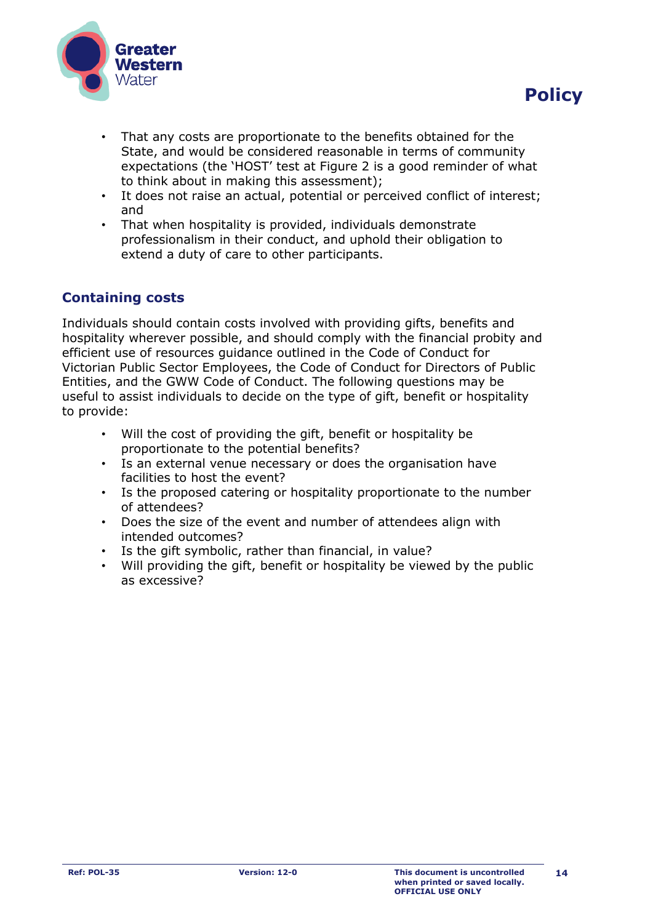



- That any costs are proportionate to the benefits obtained for the State, and would be considered reasonable in terms of community expectations (the 'HOST' test at Figure 2 is a good reminder of what to think about in making this assessment);
- It does not raise an actual, potential or perceived conflict of interest; and
- That when hospitality is provided, individuals demonstrate professionalism in their conduct, and uphold their obligation to extend a duty of care to other participants.

### **Containing costs**

Individuals should contain costs involved with providing gifts, benefits and hospitality wherever possible, and should comply with the financial probity and efficient use of resources guidance outlined in the Code of Conduct for Victorian Public Sector Employees, the Code of Conduct for Directors of Public Entities, and the GWW Code of Conduct. The following questions may be useful to assist individuals to decide on the type of gift, benefit or hospitality to provide:

- Will the cost of providing the gift, benefit or hospitality be proportionate to the potential benefits?
- Is an external venue necessary or does the organisation have facilities to host the event?
- Is the proposed catering or hospitality proportionate to the number of attendees?
- Does the size of the event and number of attendees align with intended outcomes?
- Is the gift symbolic, rather than financial, in value?
- Will providing the gift, benefit or hospitality be viewed by the public as excessive?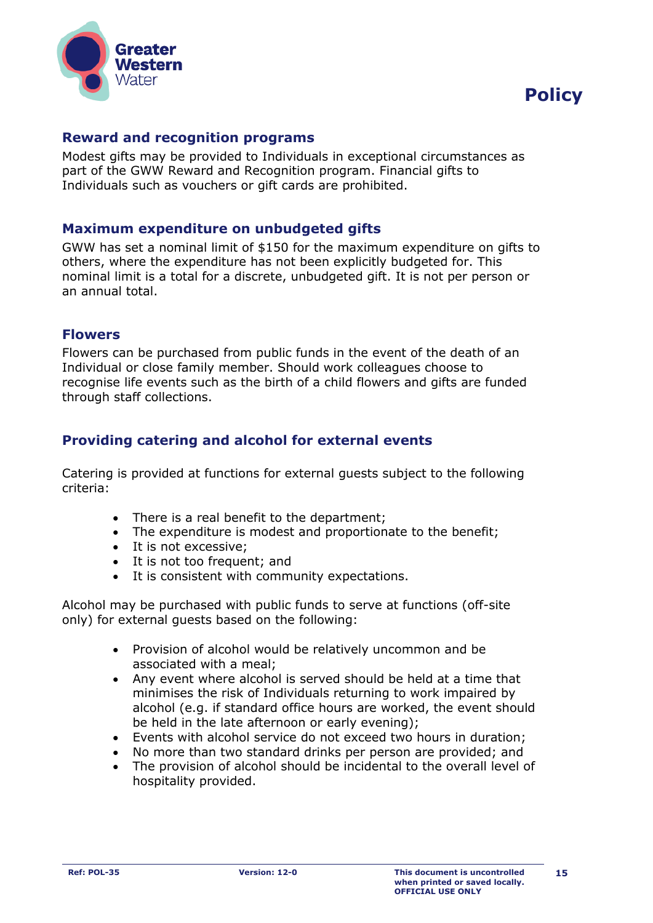



### **Reward and recognition programs**

Modest gifts may be provided to Individuals in exceptional circumstances as part of the GWW Reward and Recognition program. Financial gifts to Individuals such as vouchers or gift cards are prohibited.

#### **Maximum expenditure on unbudgeted gifts**

GWW has set a nominal limit of \$150 for the maximum expenditure on gifts to others, where the expenditure has not been explicitly budgeted for. This nominal limit is a total for a discrete, unbudgeted gift. It is not per person or an annual total.

#### **Flowers**

Flowers can be purchased from public funds in the event of the death of an Individual or close family member. Should work colleagues choose to recognise life events such as the birth of a child flowers and gifts are funded through staff collections.

### **Providing catering and alcohol for external events**

Catering is provided at functions for external guests subject to the following criteria:

- There is a real benefit to the department;
- The expenditure is modest and proportionate to the benefit;
- It is not excessive;
- It is not too frequent; and
- It is consistent with community expectations.

Alcohol may be purchased with public funds to serve at functions (off-site only) for external guests based on the following:

- Provision of alcohol would be relatively uncommon and be associated with a meal;
- Any event where alcohol is served should be held at a time that minimises the risk of Individuals returning to work impaired by alcohol (e.g. if standard office hours are worked, the event should be held in the late afternoon or early evening);
- Events with alcohol service do not exceed two hours in duration;
- No more than two standard drinks per person are provided; and
- The provision of alcohol should be incidental to the overall level of hospitality provided.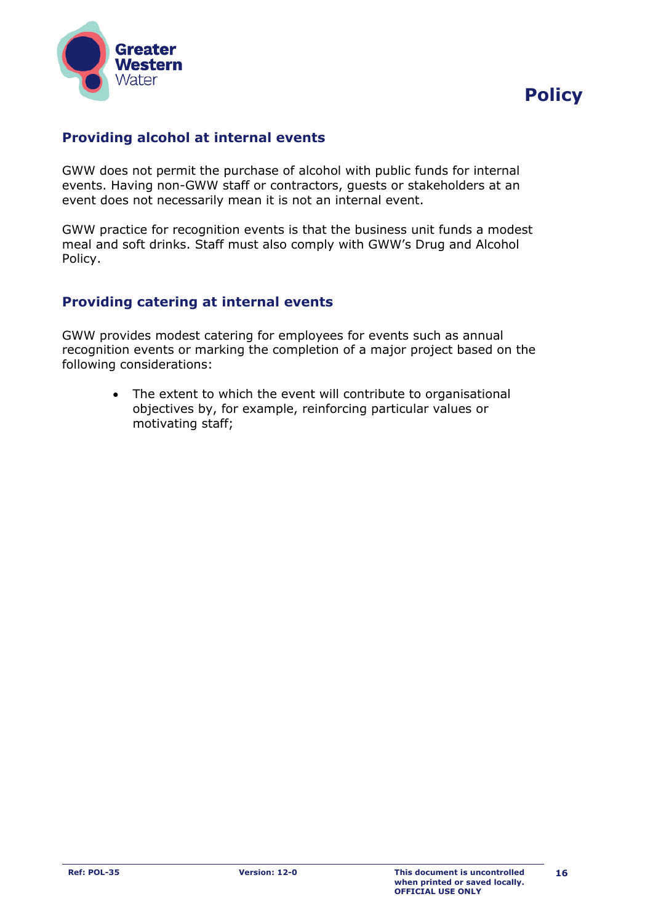



### **Providing alcohol at internal events**

GWW does not permit the purchase of alcohol with public funds for internal events. Having non-GWW staff or contractors, guests or stakeholders at an event does not necessarily mean it is not an internal event.

GWW practice for recognition events is that the business unit funds a modest meal and soft drinks. Staff must also comply with GWW's Drug and Alcohol Policy.

### **Providing catering at internal events**

GWW provides modest catering for employees for events such as annual recognition events or marking the completion of a major project based on the following considerations:

> • The extent to which the event will contribute to organisational objectives by, for example, reinforcing particular values or motivating staff;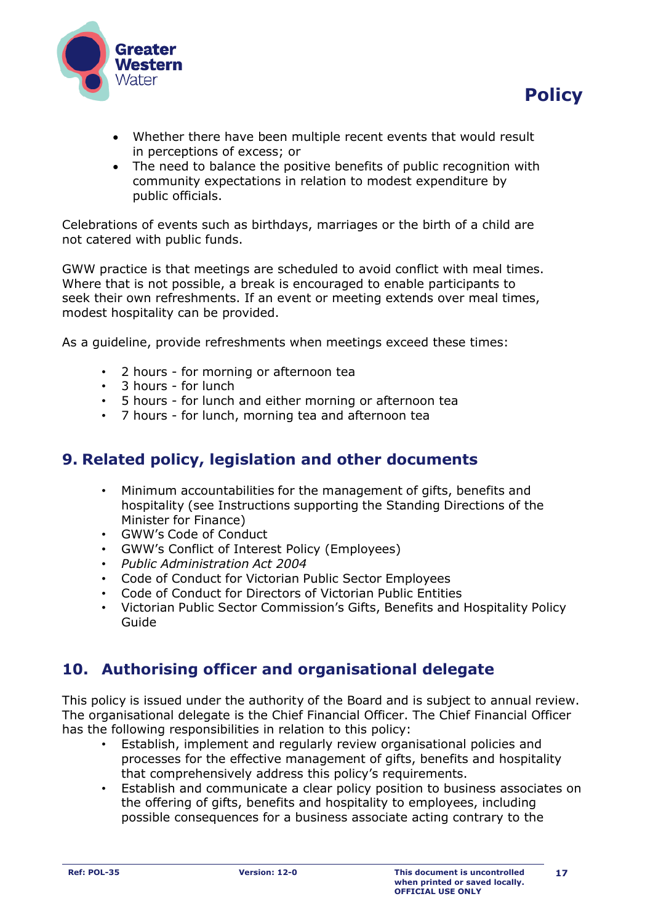



- Whether there have been multiple recent events that would result in perceptions of excess; or
- The need to balance the positive benefits of public recognition with community expectations in relation to modest expenditure by public officials.

Celebrations of events such as birthdays, marriages or the birth of a child are not catered with public funds.

GWW practice is that meetings are scheduled to avoid conflict with meal times. Where that is not possible, a break is encouraged to enable participants to seek their own refreshments. If an event or meeting extends over meal times, modest hospitality can be provided.

As a guideline, provide refreshments when meetings exceed these times:

- 2 hours for morning or afternoon tea
- 3 hours for lunch
- 5 hours for lunch and either morning or afternoon tea
- 7 hours for lunch, morning tea and afternoon tea

### **9. Related policy, legislation and other documents**

- Minimum accountabilities for the management of gifts, benefits and hospitality (see Instructions supporting the Standing Directions of the Minister for Finance)
- GWW's Code of Conduct
- GWW's Conflict of Interest Policy (Employees)
- *Public Administration Act 2004*
- Code of Conduct for Victorian Public Sector Employees
- Code of Conduct for Directors of Victorian Public Entities
- Victorian Public Sector Commission's Gifts, Benefits and Hospitality Policy Guide

### **10. Authorising officer and organisational delegate**

This policy is issued under the authority of the Board and is subject to annual review. The organisational delegate is the Chief Financial Officer. The Chief Financial Officer has the following responsibilities in relation to this policy:

- Establish, implement and regularly review organisational policies and processes for the effective management of gifts, benefits and hospitality that comprehensively address this policy's requirements.
- Establish and communicate a clear policy position to business associates on the offering of gifts, benefits and hospitality to employees, including possible consequences for a business associate acting contrary to the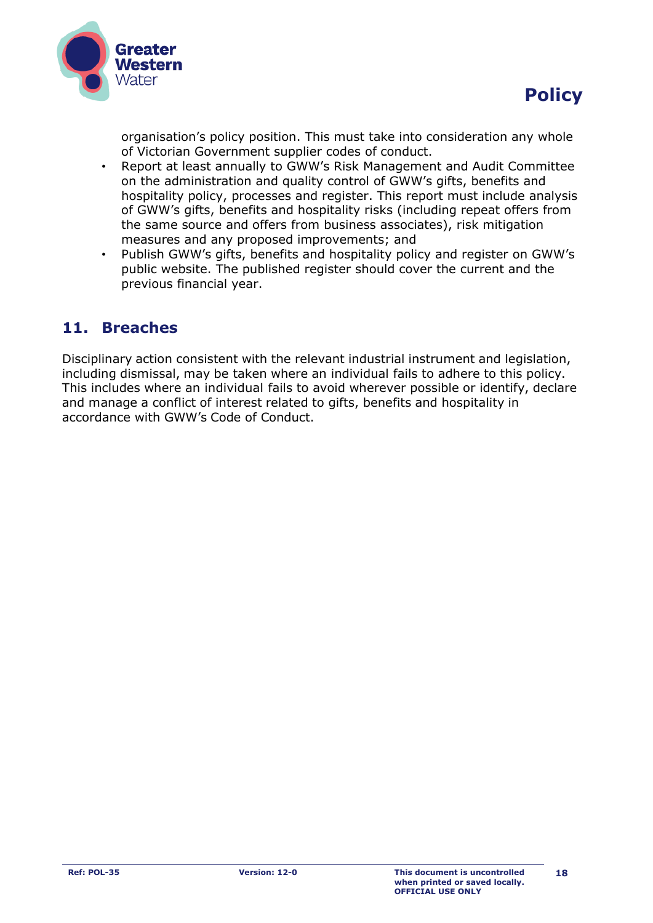



organisation's policy position. This must take into consideration any whole of Victorian Government supplier codes of conduct.

- Report at least annually to GWW's Risk Management and Audit Committee on the administration and quality control of GWW's gifts, benefits and hospitality policy, processes and register. This report must include analysis of GWW's gifts, benefits and hospitality risks (including repeat offers from the same source and offers from business associates), risk mitigation measures and any proposed improvements; and
- Publish GWW's gifts, benefits and hospitality policy and register on GWW's public website. The published register should cover the current and the previous financial year.

### **11. Breaches**

Disciplinary action consistent with the relevant industrial instrument and legislation, including dismissal, may be taken where an individual fails to adhere to this policy. This includes where an individual fails to avoid wherever possible or identify, declare and manage a conflict of interest related to gifts, benefits and hospitality in accordance with GWW's Code of Conduct.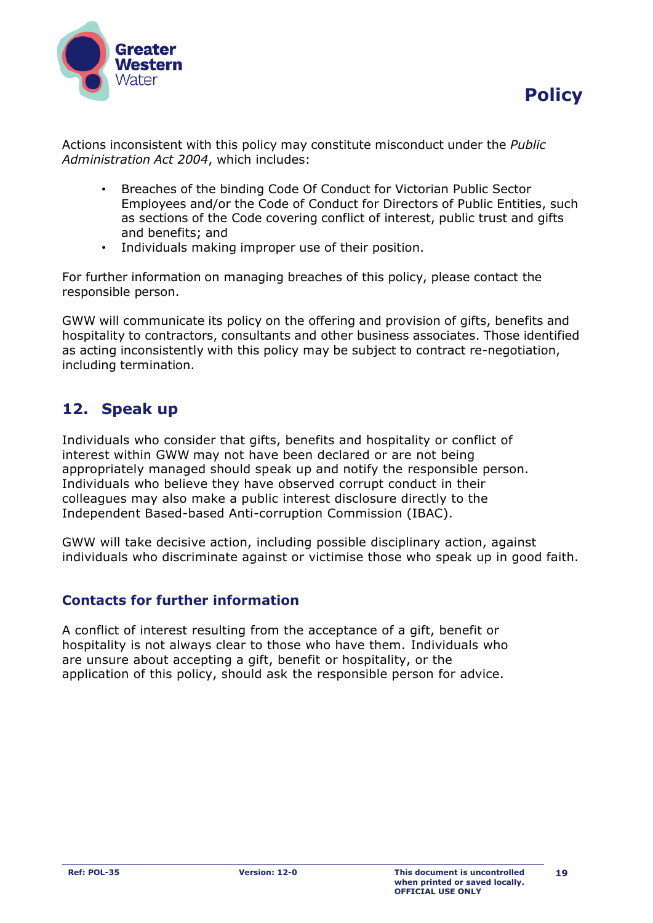



Actions inconsistent with this policy may constitute misconduct under the *Public Administration Act 2004*, which includes:

- Breaches of the binding Code Of Conduct for Victorian Public Sector Employees and/or the Code of Conduct for Directors of Public Entities, such as sections of the Code covering conflict of interest, public trust and gifts and benefits; and
- Individuals making improper use of their position.

For further information on managing breaches of this policy, please contact the responsible person.

GWW will communicate its policy on the offering and provision of gifts, benefits and hospitality to contractors, consultants and other business associates. Those identified as acting inconsistently with this policy may be subject to contract re-negotiation, including termination.

## **12. Speak up**

Individuals who consider that gifts, benefits and hospitality or conflict of interest within GWW may not have been declared or are not being appropriately managed should speak up and notify the responsible person. Individuals who believe they have observed corrupt conduct in their colleagues may also make a public interest disclosure directly to the Independent Based-based Anti-corruption Commission (IBAC).

GWW will take decisive action, including possible disciplinary action, against individuals who discriminate against or victimise those who speak up in good faith.

### **Contacts for further information**

A conflict of interest resulting from the acceptance of a gift, benefit or hospitality is not always clear to those who have them. Individuals who are unsure about accepting a gift, benefit or hospitality, or the application of this policy, should ask the responsible person for advice.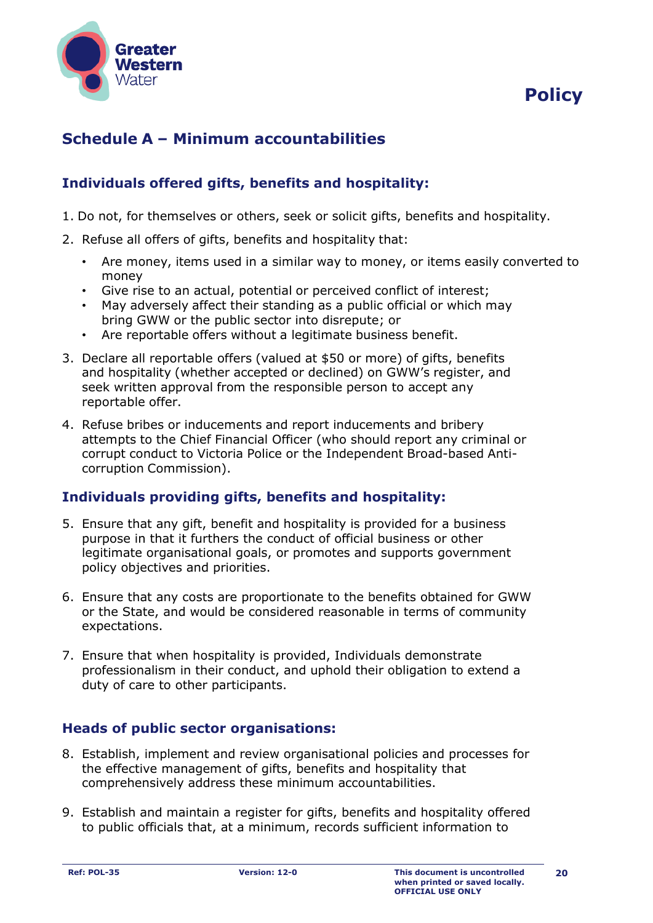



### **Schedule A – Minimum accountabilities**

### **Individuals offered gifts, benefits and hospitality:**

- 1. Do not, for themselves or others, seek or solicit gifts, benefits and hospitality.
- 2. Refuse all offers of gifts, benefits and hospitality that:
	- Are money, items used in a similar way to money, or items easily converted to money
	- Give rise to an actual, potential or perceived conflict of interest;
	- May adversely affect their standing as a public official or which may bring GWW or the public sector into disrepute; or
	- Are reportable offers without a legitimate business benefit.
- 3. Declare all reportable offers (valued at \$50 or more) of gifts, benefits and hospitality (whether accepted or declined) on GWW's register, and seek written approval from the responsible person to accept any reportable offer.
- 4. Refuse bribes or inducements and report inducements and bribery attempts to the Chief Financial Officer (who should report any criminal or corrupt conduct to Victoria Police or the Independent Broad-based Anticorruption Commission).

### **Individuals providing gifts, benefits and hospitality:**

- 5. Ensure that any gift, benefit and hospitality is provided for a business purpose in that it furthers the conduct of official business or other legitimate organisational goals, or promotes and supports government policy objectives and priorities.
- 6. Ensure that any costs are proportionate to the benefits obtained for GWW or the State, and would be considered reasonable in terms of community expectations.
- 7. Ensure that when hospitality is provided, Individuals demonstrate professionalism in their conduct, and uphold their obligation to extend a duty of care to other participants.

### **Heads of public sector organisations:**

- 8. Establish, implement and review organisational policies and processes for the effective management of gifts, benefits and hospitality that comprehensively address these minimum accountabilities.
- 9. Establish and maintain a register for gifts, benefits and hospitality offered to public officials that, at a minimum, records sufficient information to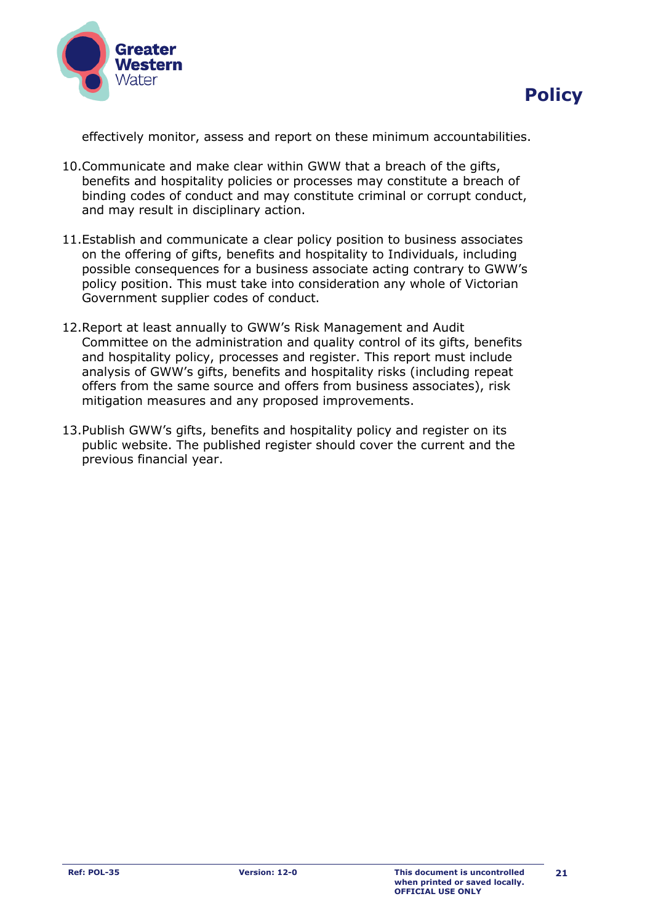



effectively monitor, assess and report on these minimum accountabilities.

- 10.Communicate and make clear within GWW that a breach of the gifts, benefits and hospitality policies or processes may constitute a breach of binding codes of conduct and may constitute criminal or corrupt conduct, and may result in disciplinary action.
- 11.Establish and communicate a clear policy position to business associates on the offering of gifts, benefits and hospitality to Individuals, including possible consequences for a business associate acting contrary to GWW's policy position. This must take into consideration any whole of Victorian Government supplier codes of conduct.
- 12.Report at least annually to GWW's Risk Management and Audit Committee on the administration and quality control of its gifts, benefits and hospitality policy, processes and register. This report must include analysis of GWW's gifts, benefits and hospitality risks (including repeat offers from the same source and offers from business associates), risk mitigation measures and any proposed improvements.
- 13.Publish GWW's gifts, benefits and hospitality policy and register on its public website. The published register should cover the current and the previous financial year.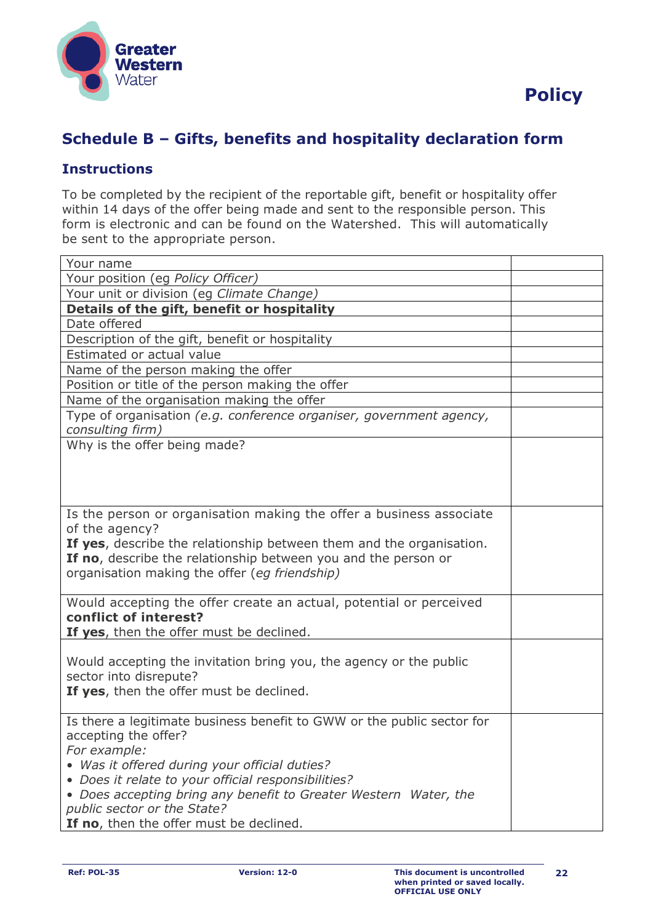

### **Schedule B – Gifts, benefits and hospitality declaration form**

### **Instructions**

To be completed by the recipient of the reportable gift, benefit or hospitality offer within 14 days of the offer being made and sent to the responsible person. This form is electronic and can be found on the Watershed. This will automatically be sent to the appropriate person.

| Your name                                                                                      |
|------------------------------------------------------------------------------------------------|
| Your position (eg Policy Officer)                                                              |
| Your unit or division (eg Climate Change)                                                      |
| Details of the gift, benefit or hospitality                                                    |
| Date offered                                                                                   |
| Description of the gift, benefit or hospitality                                                |
| Estimated or actual value                                                                      |
| Name of the person making the offer                                                            |
| Position or title of the person making the offer                                               |
| Name of the organisation making the offer                                                      |
| Type of organisation (e.g. conference organiser, government agency,<br>consulting firm)        |
| Why is the offer being made?                                                                   |
|                                                                                                |
|                                                                                                |
|                                                                                                |
| Is the person or organisation making the offer a business associate                            |
| of the agency?                                                                                 |
| If yes, describe the relationship between them and the organisation.                           |
| If no, describe the relationship between you and the person or                                 |
| organisation making the offer (eg friendship)                                                  |
|                                                                                                |
| Would accepting the offer create an actual, potential or perceived                             |
| conflict of interest?                                                                          |
| If yes, then the offer must be declined.                                                       |
|                                                                                                |
| Would accepting the invitation bring you, the agency or the public                             |
| sector into disrepute?                                                                         |
| If yes, then the offer must be declined.                                                       |
|                                                                                                |
| Is there a legitimate business benefit to GWW or the public sector for<br>accepting the offer? |
| For example:                                                                                   |
| • Was it offered during your official duties?                                                  |
| • Does it relate to your official responsibilities?                                            |
| • Does accepting bring any benefit to Greater Western Water, the                               |
| public sector or the State?                                                                    |
| If no, then the offer must be declined.                                                        |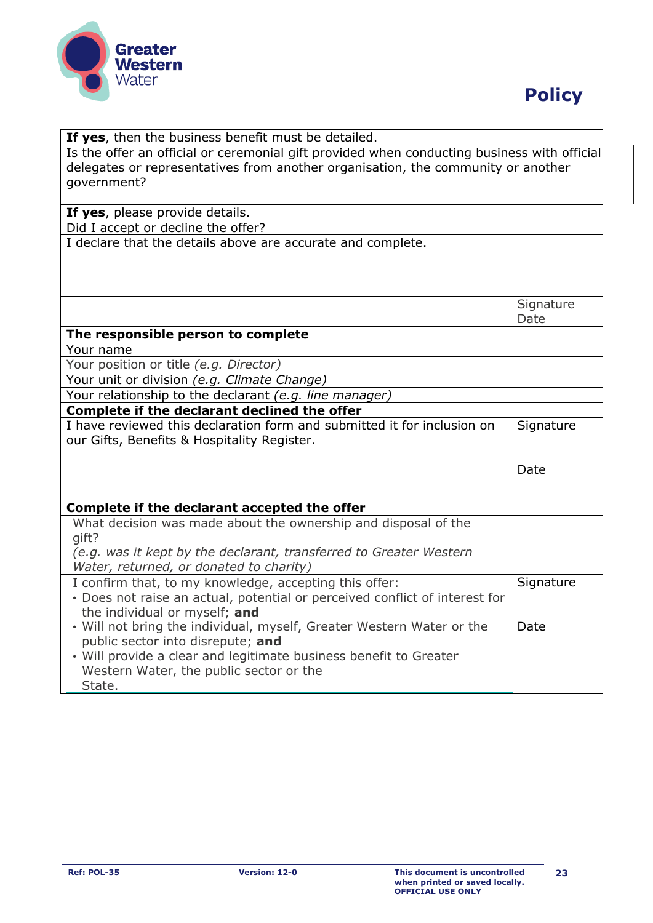

| If yes, then the business benefit must be detailed.                                         |           |
|---------------------------------------------------------------------------------------------|-----------|
| Is the offer an official or ceremonial gift provided when conducting business with official |           |
| delegates or representatives from another organisation, the community or another            |           |
| government?                                                                                 |           |
|                                                                                             |           |
| If yes, please provide details.                                                             |           |
| Did I accept or decline the offer?                                                          |           |
| I declare that the details above are accurate and complete.                                 |           |
|                                                                                             |           |
|                                                                                             |           |
|                                                                                             |           |
|                                                                                             | Signature |
|                                                                                             | Date      |
| The responsible person to complete                                                          |           |
| Your name                                                                                   |           |
| Your position or title (e.g. Director)                                                      |           |
| Your unit or division (e.g. Climate Change)                                                 |           |
| Your relationship to the declarant (e.g. line manager)                                      |           |
| Complete if the declarant declined the offer                                                |           |
| I have reviewed this declaration form and submitted it for inclusion on                     | Signature |
| our Gifts, Benefits & Hospitality Register.                                                 |           |
|                                                                                             |           |
|                                                                                             | Date      |
|                                                                                             |           |
| Complete if the declarant accepted the offer                                                |           |
| What decision was made about the ownership and disposal of the                              |           |
| qift?                                                                                       |           |
| (e.g. was it kept by the declarant, transferred to Greater Western                          |           |
| Water, returned, or donated to charity)                                                     |           |
| I confirm that, to my knowledge, accepting this offer:                                      | Signature |
| · Does not raise an actual, potential or perceived conflict of interest for                 |           |
| the individual or myself; and                                                               |           |
| . Will not bring the individual, myself, Greater Western Water or the                       | Date      |
| public sector into disrepute; and                                                           |           |
| • Will provide a clear and legitimate business benefit to Greater                           |           |
| Western Water, the public sector or the                                                     |           |
| State.                                                                                      |           |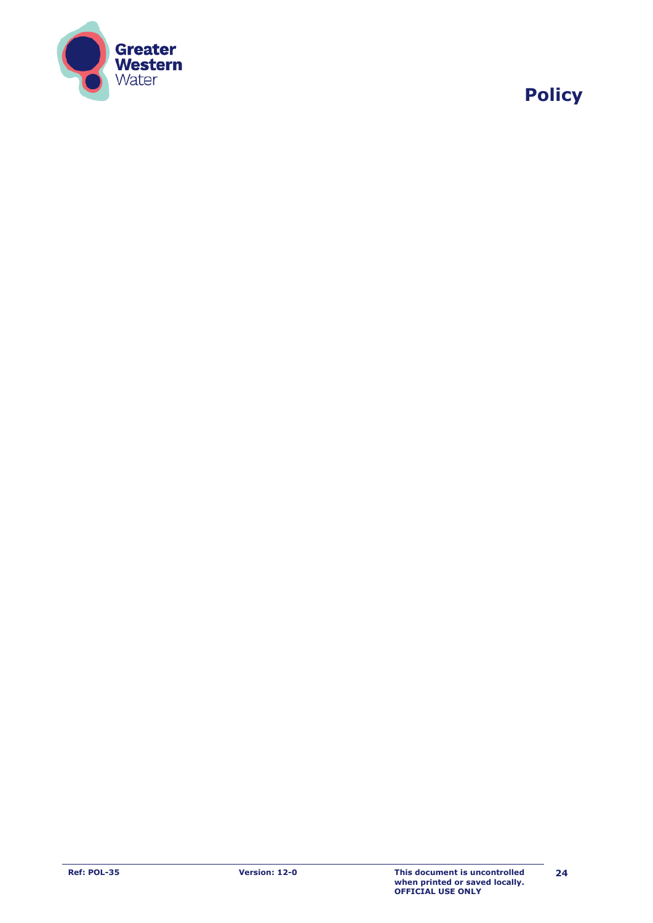